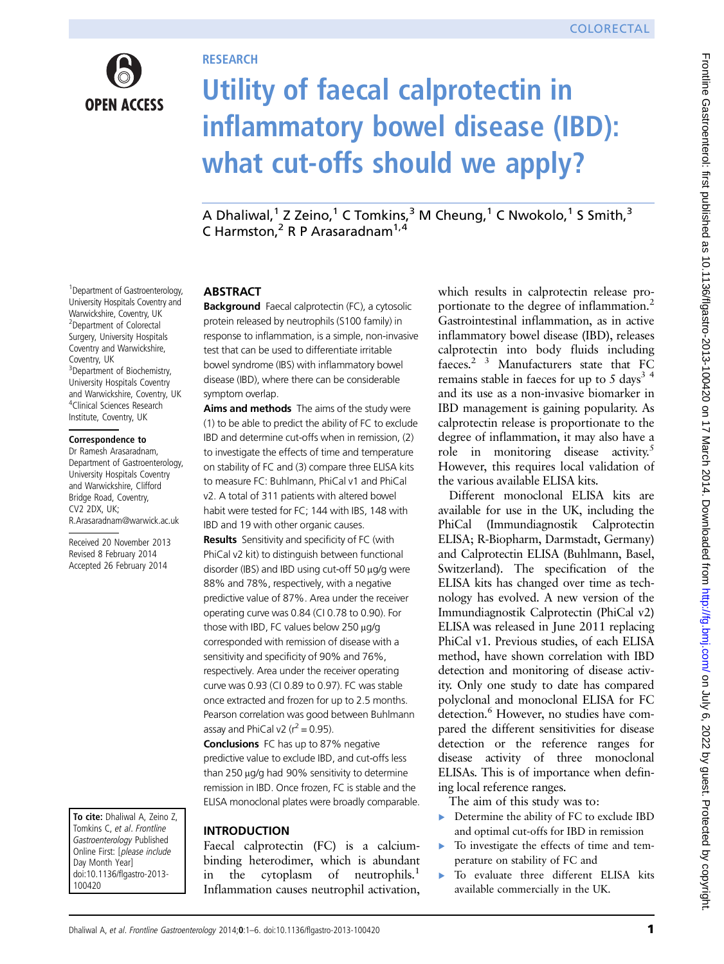

## **RESEARCH**

# Utility of faecal calprotectin in inflammatory bowel disease (IBD): what cut-offs should we apply?

A Dhaliwal,<sup>1</sup> Z Zeino,<sup>1</sup> C Tomkins,<sup>3</sup> M Cheung,<sup>1</sup> C Nwokolo,<sup>1</sup> S Smith,<sup>3</sup> C Harmston,<sup>2</sup> R P Arasaradnam<sup>1,4</sup>

#### 1 Department of Gastroenterology, University Hospitals Coventry and Warwickshire, Coventry, UK <sup>2</sup> Department of Colorectal Surgery, University Hospitals Coventry and Warwickshire, Coventry, UK <sup>3</sup> Department of Biochemistry, University Hospitals Coventry and Warwickshire, Coventry, UK

4 Clinical Sciences Research Institute, Coventry, UK

#### Correspondence to

Dr Ramesh Arasaradnam, Department of Gastroenterology, University Hospitals Coventry and Warwickshire, Clifford Bridge Road, Coventry, CV2 2DX, UK; R.Arasaradnam@warwick.ac.uk

Received 20 November 2013 Revised 8 February 2014 Accepted 26 February 2014

To cite: Dhaliwal A, Zeino Z, Tomkins C, et al. Frontline Gastroenterology Published Online First: [please include Day Month Year] doi:10.1136/flgastro-2013- 100420

## ABSTRACT

Background Faecal calprotectin (FC), a cytosolic protein released by neutrophils (S100 family) in response to inflammation, is a simple, non-invasive test that can be used to differentiate irritable bowel syndrome (IBS) with inflammatory bowel disease (IBD), where there can be considerable symptom overlap.

Aims and methods The aims of the study were (1) to be able to predict the ability of FC to exclude IBD and determine cut-offs when in remission, (2) to investigate the effects of time and temperature on stability of FC and (3) compare three ELISA kits to measure FC: Buhlmann, PhiCal v1 and PhiCal v2. A total of 311 patients with altered bowel habit were tested for FC; 144 with IBS, 148 with IBD and 19 with other organic causes.

**Results** Sensitivity and specificity of FC (with PhiCal v2 kit) to distinguish between functional disorder (IBS) and IBD using cut-off 50 μg/g were 88% and 78%, respectively, with a negative predictive value of 87%. Area under the receiver operating curve was 0.84 (CI 0.78 to 0.90). For those with IBD, FC values below 250 μg/g corresponded with remission of disease with a sensitivity and specificity of 90% and 76%, respectively. Area under the receiver operating curve was 0.93 (CI 0.89 to 0.97). FC was stable once extracted and frozen for up to 2.5 months. Pearson correlation was good between Buhlmann assay and PhiCal v2 ( $r^2$  = 0.95).

Conclusions FC has up to 87% negative predictive value to exclude IBD, and cut-offs less than 250 μg/g had 90% sensitivity to determine remission in IBD. Once frozen, FC is stable and the ELISA monoclonal plates were broadly comparable.

## INTRODUCTION

Faecal calprotectin (FC) is a calciumbinding heterodimer, which is abundant in the cytoplasm of neutrophils.<sup>1</sup> Inflammation causes neutrophil activation,

which results in calprotectin release proportionate to the degree of inflammation.<sup>2</sup> Gastrointestinal inflammation, as in active inflammatory bowel disease (IBD), releases calprotectin into body fluids including faeces.2 3 Manufacturers state that FC remains stable in faeces for up to 5 days<sup>3 4</sup> and its use as a non-invasive biomarker in IBD management is gaining popularity. As calprotectin release is proportionate to the degree of inflammation, it may also have a role in monitoring disease activity.<sup>5</sup> However, this requires local validation of the various available ELISA kits.

Different monoclonal ELISA kits are available for use in the UK, including the PhiCal (Immundiagnostik Calprotectin ELISA; R-Biopharm, Darmstadt, Germany) and Calprotectin ELISA (Buhlmann, Basel, Switzerland). The specification of the ELISA kits has changed over time as technology has evolved. A new version of the Immundiagnostik Calprotectin (PhiCal v2) ELISA was released in June 2011 replacing PhiCal v1. Previous studies, of each ELISA method, have shown correlation with IBD detection and monitoring of disease activity. Only one study to date has compared polyclonal and monoclonal ELISA for FC detection.<sup>6</sup> However, no studies have compared the different sensitivities for disease detection or the reference ranges for disease activity of three monoclonal ELISAs. This is of importance when defining local reference ranges.

The aim of this study was to:

- ▸ Determine the ability of FC to exclude IBD and optimal cut-offs for IBD in remission
- ▸ To investigate the effects of time and temperature on stability of FC and
- ▸ To evaluate three different ELISA kits available commercially in the UK.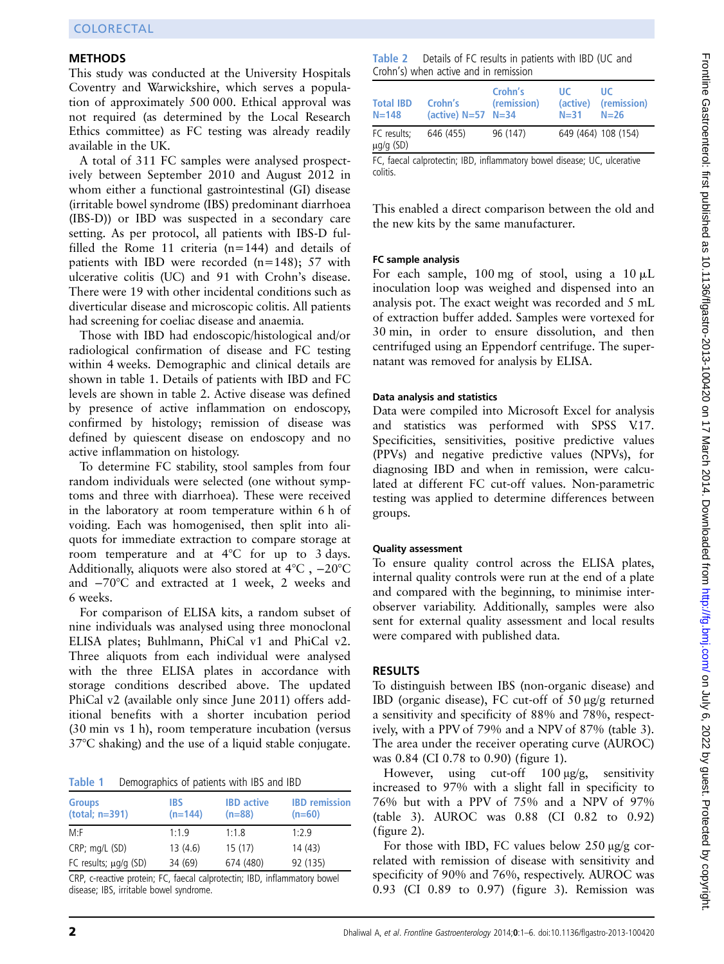### METHODS

This study was conducted at the University Hospitals Coventry and Warwickshire, which serves a population of approximately 500 000. Ethical approval was not required (as determined by the Local Research Ethics committee) as FC testing was already readily available in the UK.

A total of 311 FC samples were analysed prospectively between September 2010 and August 2012 in whom either a functional gastrointestinal (GI) disease (irritable bowel syndrome (IBS) predominant diarrhoea (IBS-D)) or IBD was suspected in a secondary care setting. As per protocol, all patients with IBS-D fulfilled the Rome 11 criteria (n=144) and details of patients with IBD were recorded (n=148); 57 with ulcerative colitis (UC) and 91 with Crohn's disease. There were 19 with other incidental conditions such as diverticular disease and microscopic colitis. All patients had screening for coeliac disease and anaemia.

Those with IBD had endoscopic/histological and/or radiological confirmation of disease and FC testing within 4 weeks. Demographic and clinical details are shown in table 1. Details of patients with IBD and FC levels are shown in table 2. Active disease was defined by presence of active inflammation on endoscopy, confirmed by histology; remission of disease was defined by quiescent disease on endoscopy and no active inflammation on histology.

To determine FC stability, stool samples from four random individuals were selected (one without symptoms and three with diarrhoea). These were received in the laboratory at room temperature within 6 h of voiding. Each was homogenised, then split into aliquots for immediate extraction to compare storage at room temperature and at 4°C for up to 3 days. Additionally, aliquots were also stored at 4°C , −20°C and −70°C and extracted at 1 week, 2 weeks and 6 weeks.

For comparison of ELISA kits, a random subset of nine individuals was analysed using three monoclonal ELISA plates; Buhlmann, PhiCal v1 and PhiCal v2. Three aliquots from each individual were analysed with the three ELISA plates in accordance with storage conditions described above. The updated PhiCal v2 (available only since June 2011) offers additional benefits with a shorter incubation period (30 min vs 1 h), room temperature incubation (versus 37°C shaking) and the use of a liquid stable conjugate.

Table 1 Demographics of patients with IBS and IBD

| <b>Groups</b><br>$(total; n=391)$ | IBS<br>$(n=144)$ | <b>IBD</b> active<br>$(n=88)$ | <b>IBD</b> remission<br>$(n=60)$ |
|-----------------------------------|------------------|-------------------------------|----------------------------------|
| M: F                              | 1:1.9            | 1:1.8                         | 1:2.9                            |
| CRP; mg/L (SD)                    | 13(4.6)          | 15(17)                        | 14(43)                           |
| FC results; $\mu q/q$ (SD)        | 34 (69)          | 674 (480)                     | 92 (135)                         |

CRP, c-reactive protein; FC, faecal calprotectin; IBD, inflammatory bowel disease; IBS, irritable bowel syndrome.

Table 2 Details of FC results in patients with IBD (UC and Crohn's) when active and in remission

| <b>Total IBD</b><br>$N = 148$ | Crohn's<br>(active) $N=57$ $N=34$ | Crohn's<br>(remission) | ШC<br>(active)<br>$N = 31$ | ШC<br>(remission)<br>$N=26$ |
|-------------------------------|-----------------------------------|------------------------|----------------------------|-----------------------------|
| FC results:<br>$\mu$ g/g (SD) | 646 (455)                         | 96 (147)               |                            | 649 (464) 108 (154)         |

FC, faecal calprotectin; IBD, inflammatory bowel disease; UC, ulcerative colitis.

This enabled a direct comparison between the old and the new kits by the same manufacturer.

#### FC sample analysis

For each sample, 100 mg of stool, using a  $10 \mu L$ inoculation loop was weighed and dispensed into an analysis pot. The exact weight was recorded and 5 mL of extraction buffer added. Samples were vortexed for 30 min, in order to ensure dissolution, and then centrifuged using an Eppendorf centrifuge. The supernatant was removed for analysis by ELISA.

#### Data analysis and statistics

Data were compiled into Microsoft Excel for analysis and statistics was performed with SPSS V.17. Specificities, sensitivities, positive predictive values (PPVs) and negative predictive values (NPVs), for diagnosing IBD and when in remission, were calculated at different FC cut-off values. Non-parametric testing was applied to determine differences between groups.

#### Quality assessment

To ensure quality control across the ELISA plates, internal quality controls were run at the end of a plate and compared with the beginning, to minimise interobserver variability. Additionally, samples were also sent for external quality assessment and local results were compared with published data.

#### RESULTS

To distinguish between IBS (non-organic disease) and IBD (organic disease), FC cut-off of 50 μg/g returned a sensitivity and specificity of 88% and 78%, respectively, with a PPV of 79% and a NPV of 87% (table 3). The area under the receiver operating curve (AUROC) was 0.84 (CI 0.78 to 0.90) (figure 1).

However, using cut-off 100 μg/g, sensitivity increased to 97% with a slight fall in specificity to 76% but with a PPV of 75% and a NPV of 97% (table 3). AUROC was 0.88 (CI 0.82 to 0.92) (figure 2).

For those with IBD, FC values below 250 μg/g correlated with remission of disease with sensitivity and specificity of 90% and 76%, respectively. AUROC was 0.93 (CI 0.89 to 0.97) (figure 3). Remission was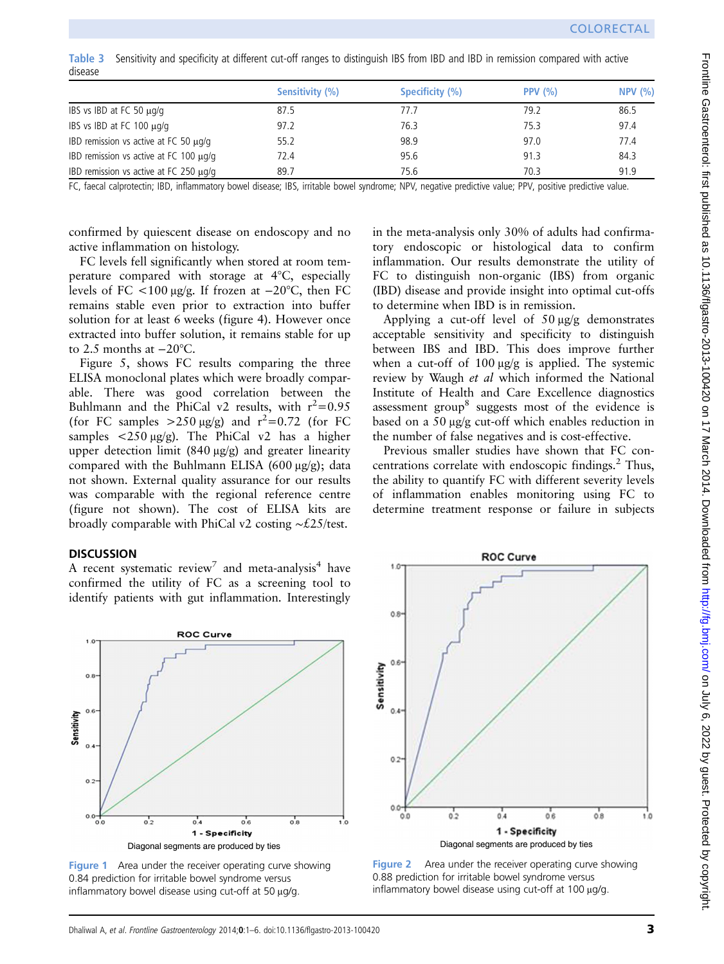Table 3 Sensitivity and specificity at different cut-off ranges to distinguish IBS from IBD and IBD in remission compared with active disease

|                                             | Sensitivity (%) | Specificity (%) | PPV $(% )$ | NPV(%) |
|---------------------------------------------|-----------------|-----------------|------------|--------|
| IBS vs IBD at FC 50 $\mu$ g/g               | 87.5            | 77.7            | 79.2       | 86.5   |
| IBS vs IBD at FC 100 $\mu$ g/g              | 97.2            | 76.3            | 75.3       | 97.4   |
| IBD remission vs active at FC 50 $\mu$ g/g  | 55.2            | 98.9            | 97.0       | 77.4   |
| IBD remission vs active at FC 100 $\mu$ g/g | 72.4            | 95.6            | 91.3       | 84.3   |
| IBD remission vs active at FC 250 $\mu$ g/g | 89.7            | 75.6            | 70.3       | 91.9   |

FC, faecal calprotectin; IBD, inflammatory bowel disease; IBS, irritable bowel syndrome; NPV, negative predictive value; PPV, positive predictive value.

confirmed by quiescent disease on endoscopy and no active inflammation on histology.

FC levels fell significantly when stored at room temperature compared with storage at 4°C, especially levels of FC <100 μg/g. If frozen at −20°C, then FC remains stable even prior to extraction into buffer solution for at least 6 weeks (figure 4). However once extracted into buffer solution, it remains stable for up to 2.5 months at −20°C.

Figure 5, shows FC results comparing the three ELISA monoclonal plates which were broadly comparable. There was good correlation between the Buhlmann and the PhiCal v2 results, with  $r^2=0.95$ (for FC samples  $>250 \mu g/g$ ) and  $r^2=0.72$  (for FC samples <250 μg/g). The PhiCal v2 has a higher upper detection limit (840 μg/g) and greater linearity compared with the Buhlmann ELISA (600 μg/g); data not shown. External quality assurance for our results was comparable with the regional reference centre (figure not shown). The cost of ELISA kits are broadly comparable with PhiCal v2 costing ∼£25/test.

#### **DISCUSSION**

A recent systematic review<sup>7</sup> and meta-analysis<sup>4</sup> have confirmed the utility of FC as a screening tool to identify patients with gut inflammation. Interestingly

ROC Curve  $O.8$ Sensitivity  $\mathbf{o}$  $\bullet$  $0.0$  $0.2$  $0.8$  $0.4$  $0.6$  $1.0$ 1 - Specificity Diagonal segments are produced by ties

Figure 1 Area under the receiver operating curve showing 0.84 prediction for irritable bowel syndrome versus inflammatory bowel disease using cut-off at 50 μg/g.

in the meta-analysis only 30% of adults had confirmatory endoscopic or histological data to confirm inflammation. Our results demonstrate the utility of FC to distinguish non-organic (IBS) from organic (IBD) disease and provide insight into optimal cut-offs to determine when IBD is in remission.

Applying a cut-off level of 50 μg/g demonstrates acceptable sensitivity and specificity to distinguish between IBS and IBD. This does improve further when a cut-off of 100 μg/g is applied. The systemic review by Waugh et al which informed the National Institute of Health and Care Excellence diagnostics assessment group<sup>8</sup> suggests most of the evidence is based on a 50 μg/g cut-off which enables reduction in the number of false negatives and is cost-effective.

Previous smaller studies have shown that FC concentrations correlate with endoscopic findings. $\frac{2}{3}$  Thus, the ability to quantify FC with different severity levels of inflammation enables monitoring using FC to determine treatment response or failure in subjects



Figure 2 Area under the receiver operating curve showing 0.88 prediction for irritable bowel syndrome versus inflammatory bowel disease using cut-off at 100 μg/g.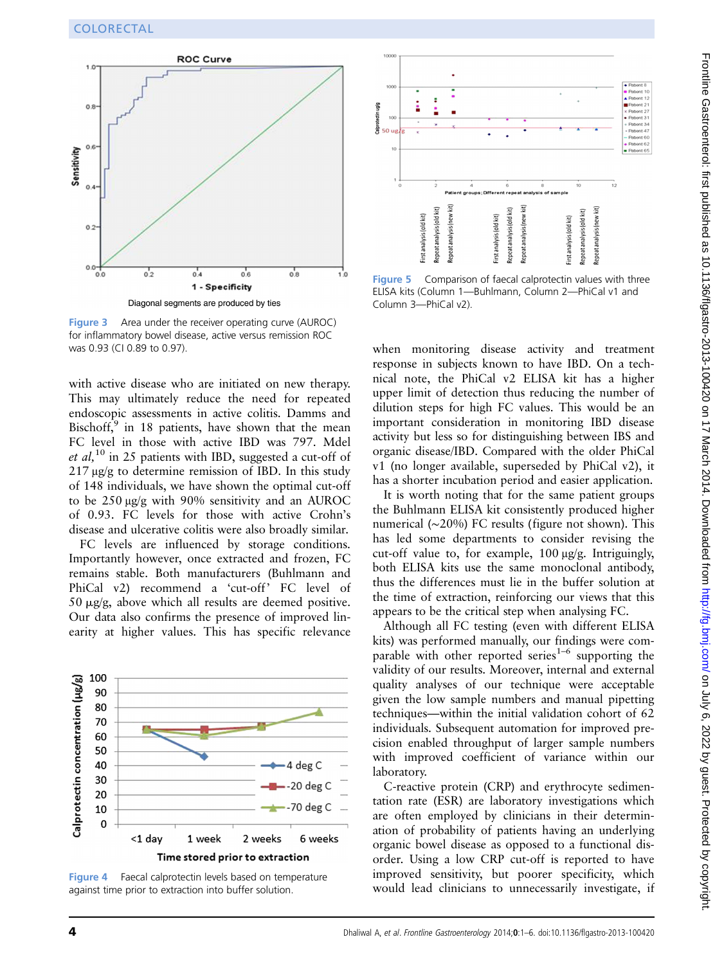

Figure 3 Area under the receiver operating curve (AUROC) for inflammatory bowel disease, active versus remission ROC was 0.93 (CI 0.89 to 0.97).

with active disease who are initiated on new therapy. This may ultimately reduce the need for repeated endoscopic assessments in active colitis. Damms and Bischoff, $9$  in 18 patients, have shown that the mean FC level in those with active IBD was 797. Mdel et al,  $10$  in 25 patients with IBD, suggested a cut-off of 217 μg/g to determine remission of IBD. In this study of 148 individuals, we have shown the optimal cut-off to be 250 μg/g with 90% sensitivity and an AUROC of 0.93. FC levels for those with active Crohn's disease and ulcerative colitis were also broadly similar.

FC levels are influenced by storage conditions. Importantly however, once extracted and frozen, FC remains stable. Both manufacturers (Buhlmann and PhiCal v2) recommend a 'cut-off' FC level of 50  $\mu$ g/g, above which all results are deemed positive. Our data also confirms the presence of improved linearity at higher values. This has specific relevance



Figure 4 Faecal calprotectin levels based on temperature against time prior to extraction into buffer solution.



Figure 5 Comparison of faecal calprotectin values with three ELISA kits (Column 1—Buhlmann, Column 2—PhiCal v1 and Column 3—PhiCal v2).

when monitoring disease activity and treatment response in subjects known to have IBD. On a technical note, the PhiCal v2 ELISA kit has a higher upper limit of detection thus reducing the number of dilution steps for high FC values. This would be an important consideration in monitoring IBD disease activity but less so for distinguishing between IBS and organic disease/IBD. Compared with the older PhiCal v1 (no longer available, superseded by PhiCal v2), it has a shorter incubation period and easier application.

It is worth noting that for the same patient groups the Buhlmann ELISA kit consistently produced higher numerical (∼20%) FC results (figure not shown). This has led some departments to consider revising the cut-off value to, for example, 100 μg/g. Intriguingly, both ELISA kits use the same monoclonal antibody, thus the differences must lie in the buffer solution at the time of extraction, reinforcing our views that this appears to be the critical step when analysing FC.

Although all FC testing (even with different ELISA kits) was performed manually, our findings were comparable with other reported series<sup>1–6</sup> supporting the validity of our results. Moreover, internal and external quality analyses of our technique were acceptable given the low sample numbers and manual pipetting techniques—within the initial validation cohort of 62 individuals. Subsequent automation for improved precision enabled throughput of larger sample numbers with improved coefficient of variance within our laboratory.

C-reactive protein (CRP) and erythrocyte sedimentation rate (ESR) are laboratory investigations which are often employed by clinicians in their determination of probability of patients having an underlying organic bowel disease as opposed to a functional disorder. Using a low CRP cut-off is reported to have improved sensitivity, but poorer specificity, which would lead clinicians to unnecessarily investigate, if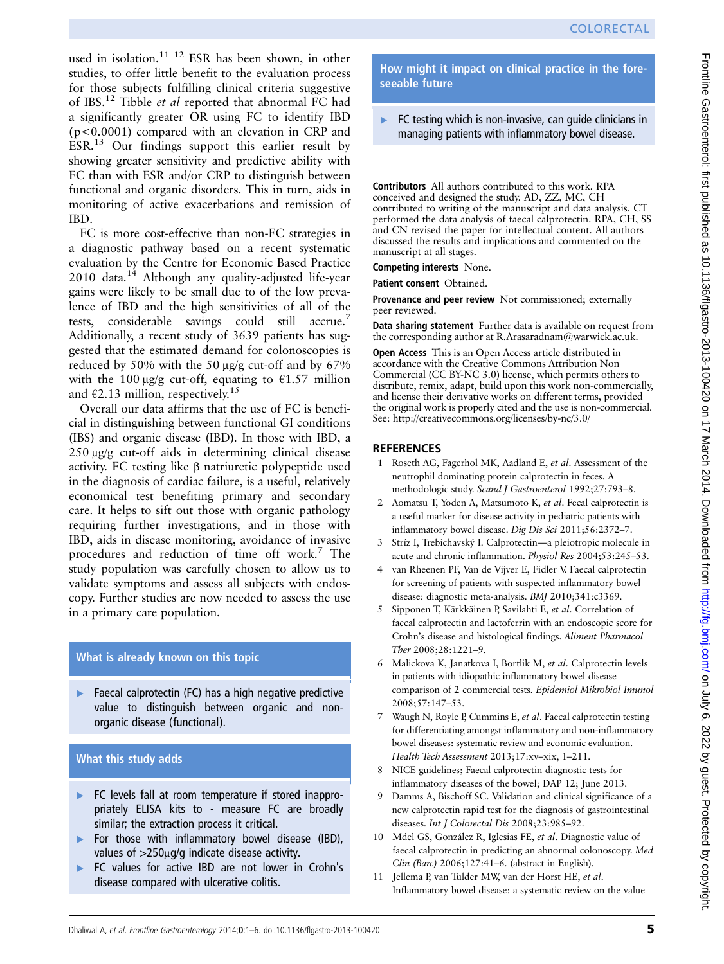used in isolation.<sup>11 12</sup> ESR has been shown, in other studies, to offer little benefit to the evaluation process for those subjects fulfilling clinical criteria suggestive of IBS.<sup>12</sup> Tibble et al reported that abnormal FC had a significantly greater OR using FC to identify IBD (p<0.0001) compared with an elevation in CRP and ESR.<sup>13</sup> Our findings support this earlier result by showing greater sensitivity and predictive ability with FC than with ESR and/or CRP to distinguish between functional and organic disorders. This in turn, aids in monitoring of active exacerbations and remission of IBD.

FC is more cost-effective than non-FC strategies in a diagnostic pathway based on a recent systematic evaluation by the Centre for Economic Based Practice  $2010 \text{ data}^{14}$  Although any quality-adjusted life-year gains were likely to be small due to of the low prevalence of IBD and the high sensitivities of all of the tests, considerable savings could still accrue.<sup>7</sup> Additionally, a recent study of 3639 patients has suggested that the estimated demand for colonoscopies is reduced by 50% with the 50 μg/g cut-off and by 67% with the 100  $\mu$ g/g cut-off, equating to  $\epsilon$ 1.57 million and  $\epsilon$ 2.13 million, respectively.<sup>15</sup>

Overall our data affirms that the use of FC is beneficial in distinguishing between functional GI conditions (IBS) and organic disease (IBD). In those with IBD, a 250 μg/g cut-off aids in determining clinical disease activity. FC testing like β natriuretic polypeptide used in the diagnosis of cardiac failure, is a useful, relatively economical test benefiting primary and secondary care. It helps to sift out those with organic pathology requiring further investigations, and in those with IBD, aids in disease monitoring, avoidance of invasive procedures and reduction of time off work.<sup>7</sup> The study population was carefully chosen to allow us to validate symptoms and assess all subjects with endoscopy. Further studies are now needed to assess the use in a primary care population.

### What is already known on this topic

Faecal calprotectin (FC) has a high negative predictive value to distinguish between organic and nonorganic disease (functional).

## What this study adds

- ▸ FC levels fall at room temperature if stored inappropriately ELISA kits to - measure FC are broadly similar; the extraction process it critical.
- ▸ For those with inflammatory bowel disease (IBD), values of >250μg/g indicate disease activity.
- FC values for active IBD are not lower in Crohn's disease compared with ulcerative colitis.

How might it impact on clinical practice in the foreseeable future

### $\blacktriangleright$  FC testing which is non-invasive, can guide clinicians in managing patients with inflammatory bowel disease.

Contributors All authors contributed to this work. RPA conceived and designed the study. AD, ZZ, MC, CH contributed to writing of the manuscript and data analysis. CT performed the data analysis of faecal calprotectin. RPA, CH, SS and CN revised the paper for intellectual content. All authors discussed the results and implications and commented on the manuscript at all stages.

Competing interests None.

Patient consent Obtained.

Provenance and peer review Not commissioned; externally peer reviewed.

Data sharing statement Further data is available on request from the corresponding author at R.Arasaradnam@warwick.ac.uk.

Open Access This is an Open Access article distributed in accordance with the Creative Commons Attribution Non Commercial (CC BY-NC 3.0) license, which permits others to distribute, remix, adapt, build upon this work non-commercially, and license their derivative works on different terms, provided the original work is properly cited and the use is non-commercial. See: http://creativecommons.org/licenses/by-nc/3.0/

## **REFERENCES**

- 1 Roseth AG, Fagerhol MK, Aadland E, et al. Assessment of the neutrophil dominating protein calprotectin in feces. A methodologic study. Scand J Gastroenterol 1992;27:793–8.
- 2 Aomatsu T, Yoden A, Matsumoto K, et al. Fecal calprotectin is a useful marker for disease activity in pediatric patients with inflammatory bowel disease. Dig Dis Sci 2011;56:2372–7.
- 3 Stríz I, Trebichavský I. Calprotectin—a pleiotropic molecule in acute and chronic inflammation. Physiol Res 2004;53:245–53.
- 4 van Rheenen PF, Van de Vijver E, Fidler V. Faecal calprotectin for screening of patients with suspected inflammatory bowel disease: diagnostic meta-analysis. BMJ 2010;341:c3369.
- 5 Sipponen T, Kärkkäinen P, Savilahti E, et al. Correlation of faecal calprotectin and lactoferrin with an endoscopic score for Crohn's disease and histological findings. Aliment Pharmacol Ther 2008;28:1221–9.
- 6 Malickova K, Janatkova I, Bortlik M, et al. Calprotectin levels in patients with idiopathic inflammatory bowel disease comparison of 2 commercial tests. Epidemiol Mikrobiol Imunol 2008;57:147–53.
- 7 Waugh N, Royle P, Cummins E, et al. Faecal calprotectin testing for differentiating amongst inflammatory and non-inflammatory bowel diseases: systematic review and economic evaluation. Health Tech Assessment 2013;17:xv–xix, 1–211.
- 8 NICE guidelines; Faecal calprotectin diagnostic tests for inflammatory diseases of the bowel; DAP 12; June 2013.
- 9 Damms A, Bischoff SC. Validation and clinical significance of a new calprotectin rapid test for the diagnosis of gastrointestinal diseases. Int J Colorectal Dis 2008;23:985–92.
- 10 Mdel GS, González R, Iglesias FE, et al. Diagnostic value of faecal calprotectin in predicting an abnormal colonoscopy. Med Clin (Barc) 2006;127:41–6. (abstract in English).
- 11 Jellema P, van Tulder MW, van der Horst HE, et al. Inflammatory bowel disease: a systematic review on the value